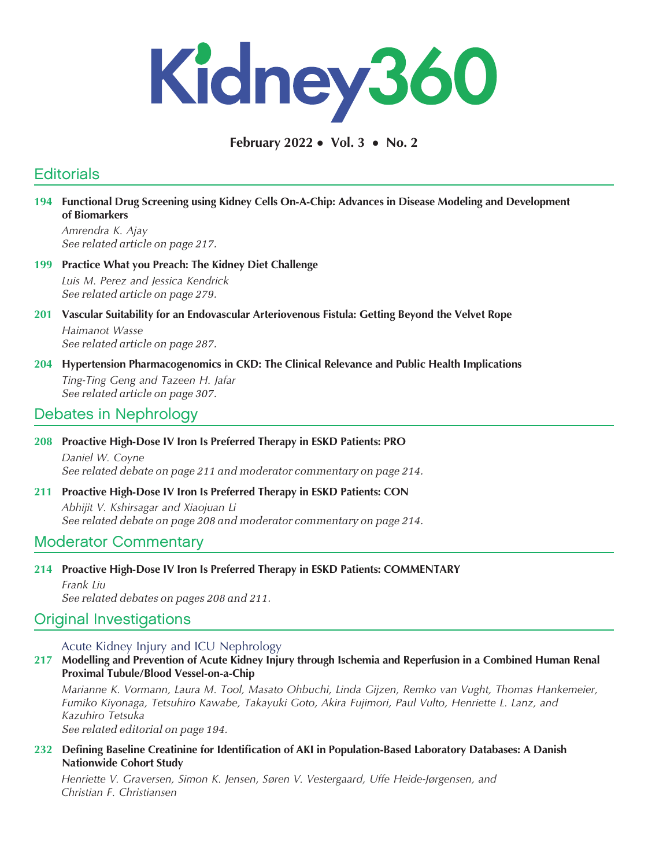

February 2022 • Vol. 3 • No. 2

# **Editorials**

194 Functional Drug Screening using Kidney Cells On-A-Chip: Advances in Disease Modeling and Development of Biomarkers

Amrendra K. Ajay See related article on page 217.

199 Practice What you Preach: The Kidney Diet Challenge Luis M. Perez and Jessica Kendrick See related article on page 279.

## 201 Vascular Suitability for an Endovascular Arteriovenous Fistula: Getting Beyond the Velvet Rope

Haimanot Wasse See related article on page 287.

204 Hypertension Pharmacogenomics in CKD: The Clinical Relevance and Public Health Implications

Ting-Ting Geng and Tazeen H. Jafar See related article on page 307.

# Debates in Nephrology

#### 208 Proactive High-Dose IV Iron Is Preferred Therapy in ESKD Patients: PRO

Daniel W. Coyne See related debate on page 211 and moderator commentary on page 214.

### 211 Proactive High-Dose IV Iron Is Preferred Therapy in ESKD Patients: CON

Abhijit V. Kshirsagar and Xiaojuan Li See related debate on page 208 and moderator commentary on page 214.

## Moderator Commentary

### 214 Proactive High-Dose IV Iron Is Preferred Therapy in ESKD Patients: COMMENTARY

Frank Liu See related debates on pages 208 and 211.

## Original Investigations

Acute Kidney Injury and ICU Nephrology

## 217 Modelling and Prevention of Acute Kidney Injury through Ischemia and Reperfusion in a Combined Human Renal Proximal Tubule/Blood Vessel-on-a-Chip

Marianne K. Vormann, Laura M. Tool, Masato Ohbuchi, Linda Gijzen, Remko van Vught, Thomas Hankemeier, Fumiko Kiyonaga, Tetsuhiro Kawabe, Takayuki Goto, Akira Fujimori, Paul Vulto, Henriette L. Lanz, and Kazuhiro Tetsuka

See related editorial on page 194.

#### 232 Defining Baseline Creatinine for Identification of AKI in Population-Based Laboratory Databases: A Danish Nationwide Cohort Study

Henriette V. Graversen, Simon K. Jensen, Søren V. Vestergaard, Uffe Heide-Jørgensen, and Christian F. Christiansen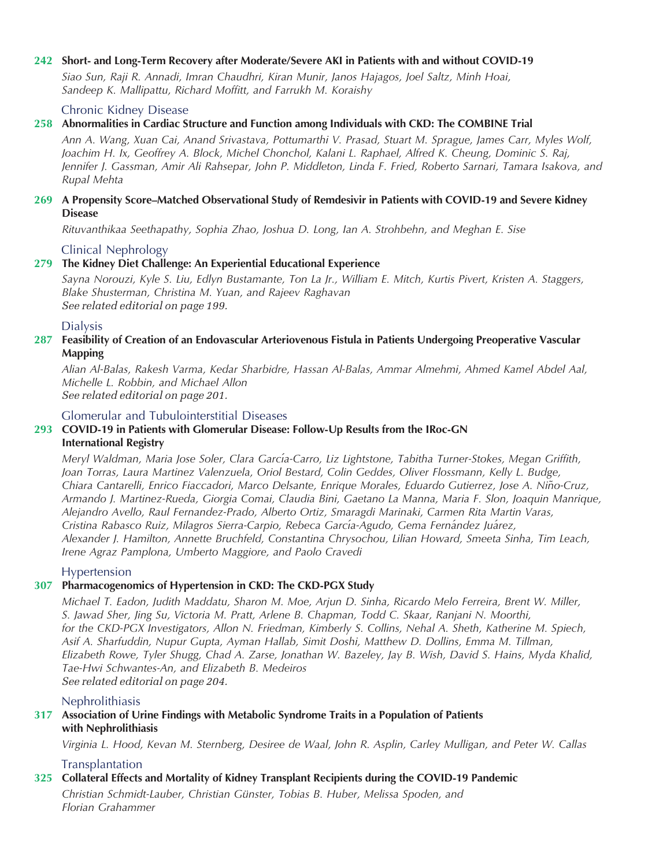#### 242 Short- and Long-Term Recovery after Moderate/Severe AKI in Patients with and without COVID-19

Siao Sun, Raji R. Annadi, Imran Chaudhri, Kiran Munir, Janos Hajagos, Joel Saltz, Minh Hoai, Sandeep K. Mallipattu, Richard Moffitt, and Farrukh M. Koraishy

#### Chronic Kidney Disease

#### 258 Abnormalities in Cardiac Structure and Function among Individuals with CKD: The COMBINE Trial

Ann A. Wang, Xuan Cai, Anand Srivastava, Pottumarthi V. Prasad, Stuart M. Sprague, James Carr, Myles Wolf, Joachim H. Ix, Geoffrey A. Block, Michel Chonchol, Kalani L. Raphael, Alfred K. Cheung, Dominic S. Raj, Jennifer J. Gassman, Amir Ali Rahsepar, John P. Middleton, Linda F. Fried, Roberto Sarnari, Tamara Isakova, and Rupal Mehta

#### 269 A Propensity Score–Matched Observational Study of Remdesivir in Patients with COVID-19 and Severe Kidney **Disease**

Rituvanthikaa Seethapathy, Sophia Zhao, Joshua D. Long, Ian A. Strohbehn, and Meghan E. Sise

Clinical Nephrology

### 279 The Kidney Diet Challenge: An Experiential Educational Experience

Sayna Norouzi, Kyle S. Liu, Edlyn Bustamante, Ton La Jr., William E. Mitch, Kurtis Pivert, Kristen A. Staggers, Blake Shusterman, Christina M. Yuan, and Rajeev Raghavan See related editorial on page 199.

### Dialysis

#### 287 Feasibility of Creation of an Endovascular Arteriovenous Fistula in Patients Undergoing Preoperative Vascular Mapping

Alian Al-Balas, Rakesh Varma, Kedar Sharbidre, Hassan Al-Balas, Ammar Almehmi, Ahmed Kamel Abdel Aal, Michelle L. Robbin, and Michael Allon See related editorial on page 201.

#### Glomerular and Tubulointerstitial Diseases

## 293 COVID-19 in Patients with Glomerular Disease: Follow-Up Results from the IRoc-GN International Registry

Meryl Waldman, Maria Jose Soler, Clara García-Carro, Liz Lightstone, Tabitha Turner-Stokes, Megan Griffith, Joan Torras, Laura Martinez Valenzuela, Oriol Bestard, Colin Geddes, Oliver Flossmann, Kelly L. Budge, Chiara Cantarelli, Enrico Fiaccadori, Marco Delsante, Enrique Morales, Eduardo Gutierrez, Jose A. Nino-Cruz, ˜ Armando J. Martinez-Rueda, Giorgia Comai, Claudia Bini, Gaetano La Manna, Maria F. Slon, Joaquin Manrique, Alejandro Avello, Raul Fernandez-Prado, Alberto Ortiz, Smaragdi Marinaki, Carmen Rita Martin Varas, Cristina Rabasco Ruiz, Milagros Sierra-Carpio, Rebeca García-Agudo, Gema Fernández Juárez, Alexander J. Hamilton, Annette Bruchfeld, Constantina Chrysochou, Lilian Howard, Smeeta Sinha, Tim Leach, Irene Agraz Pamplona, Umberto Maggiore, and Paolo Cravedi

### Hypertension

### 307 Pharmacogenomics of Hypertension in CKD: The CKD-PGX Study

Michael T. Eadon, Judith Maddatu, Sharon M. Moe, Arjun D. Sinha, Ricardo Melo Ferreira, Brent W. Miller, S. Jawad Sher, Jing Su, Victoria M. Pratt, Arlene B. Chapman, Todd C. Skaar, Ranjani N. Moorthi, for the CKD-PGX Investigators, Allon N. Friedman, Kimberly S. Collins, Nehal A. Sheth, Katherine M. Spiech, Asif A. Sharfuddin, Nupur Gupta, Ayman Hallab, Simit Doshi, Matthew D. Dollins, Emma M. Tillman, Elizabeth Rowe, Tyler Shugg, Chad A. Zarse, Jonathan W. Bazeley, Jay B. Wish, David S. Hains, Myda Khalid, Tae-Hwi Schwantes-An, and Elizabeth B. Medeiros See related editorial on page 204.

#### **Nephrolithiasis**

## 317 Association of Urine Findings with Metabolic Syndrome Traits in a Population of Patients with Nephrolithiasis

Virginia L. Hood, Kevan M. Sternberg, Desiree de Waal, John R. Asplin, Carley Mulligan, and Peter W. Callas

### **Transplantation**

#### 325 Collateral Effects and Mortality of Kidney Transplant Recipients during the COVID-19 Pandemic Christian Schmidt-Lauber, Christian Günster, Tobias B. Huber, Melissa Spoden, and Florian Grahammer